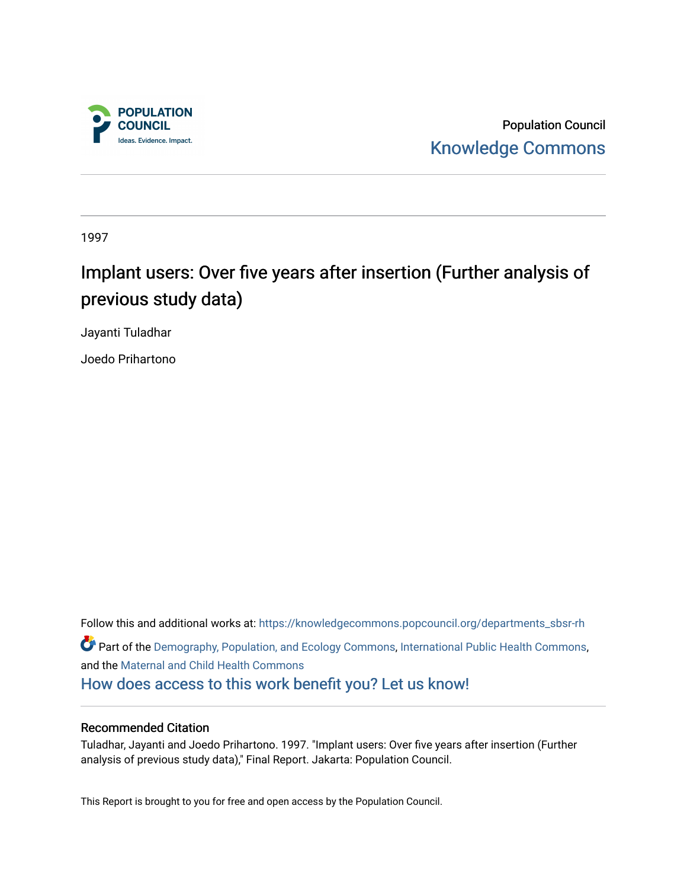

Population Council [Knowledge Commons](https://knowledgecommons.popcouncil.org/) 

1997

# Implant users: Over five years after insertion (Further analysis of previous study data)

Jayanti Tuladhar

Joedo Prihartono

Follow this and additional works at: [https://knowledgecommons.popcouncil.org/departments\\_sbsr-rh](https://knowledgecommons.popcouncil.org/departments_sbsr-rh?utm_source=knowledgecommons.popcouncil.org%2Fdepartments_sbsr-rh%2F2038&utm_medium=PDF&utm_campaign=PDFCoverPages)  Part of the [Demography, Population, and Ecology Commons,](https://network.bepress.com/hgg/discipline/418?utm_source=knowledgecommons.popcouncil.org%2Fdepartments_sbsr-rh%2F2038&utm_medium=PDF&utm_campaign=PDFCoverPages) [International Public Health Commons](https://network.bepress.com/hgg/discipline/746?utm_source=knowledgecommons.popcouncil.org%2Fdepartments_sbsr-rh%2F2038&utm_medium=PDF&utm_campaign=PDFCoverPages), and the [Maternal and Child Health Commons](https://network.bepress.com/hgg/discipline/745?utm_source=knowledgecommons.popcouncil.org%2Fdepartments_sbsr-rh%2F2038&utm_medium=PDF&utm_campaign=PDFCoverPages) [How does access to this work benefit you? Let us know!](https://pcouncil.wufoo.com/forms/open-access-to-population-council-research/)

#### Recommended Citation

Tuladhar, Jayanti and Joedo Prihartono. 1997. "Implant users: Over five years after insertion (Further analysis of previous study data)," Final Report. Jakarta: Population Council.

This Report is brought to you for free and open access by the Population Council.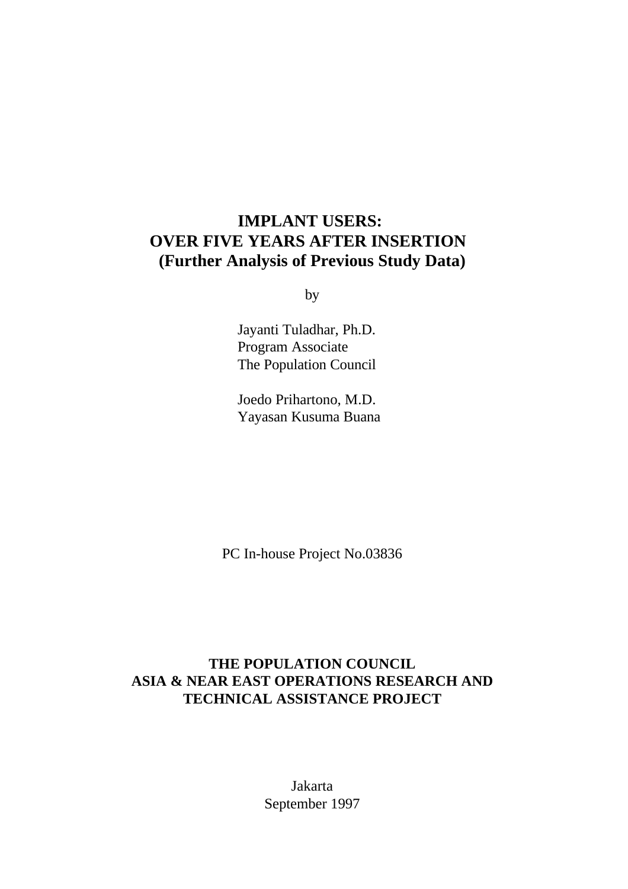## **IMPLANT USERS: OVER FIVE YEARS AFTER INSERTION (Further Analysis of Previous Study Data)**

by

 Jayanti Tuladhar, Ph.D. Program Associate The Population Council

Joedo Prihartono, M.D. Yayasan Kusuma Buana

PC In-house Project No.03836

### **THE POPULATION COUNCIL ASIA & NEAR EAST OPERATIONS RESEARCH AND TECHNICAL ASSISTANCE PROJECT**

Jakarta September 1997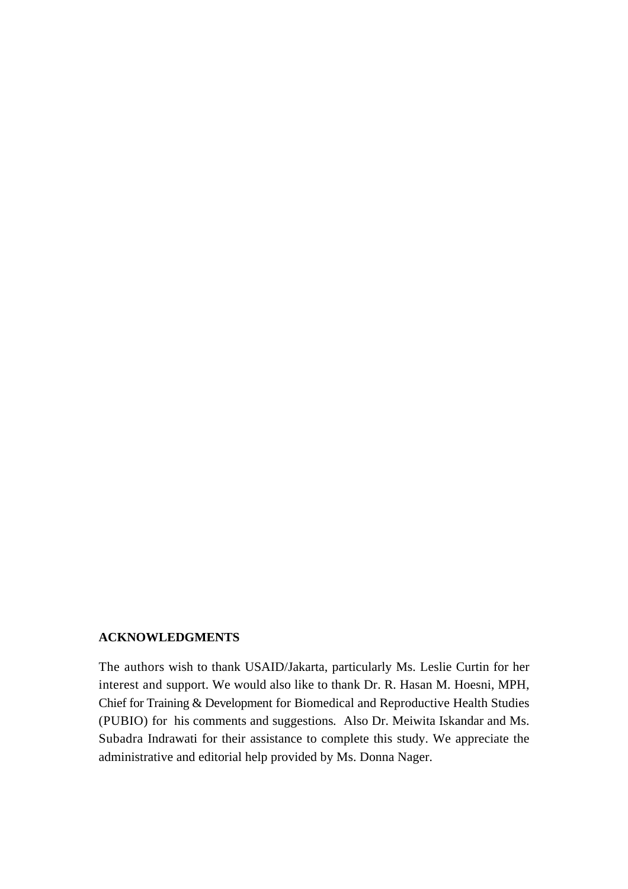#### **ACKNOWLEDGMENTS**

The authors wish to thank USAID/Jakarta, particularly Ms. Leslie Curtin for her interest and support. We would also like to thank Dr. R. Hasan M. Hoesni, MPH, Chief for Training & Development for Biomedical and Reproductive Health Studies (PUBIO) for his comments and suggestions*.* Also Dr. Meiwita Iskandar and Ms. Subadra Indrawati for their assistance to complete this study. We appreciate the administrative and editorial help provided by Ms. Donna Nager.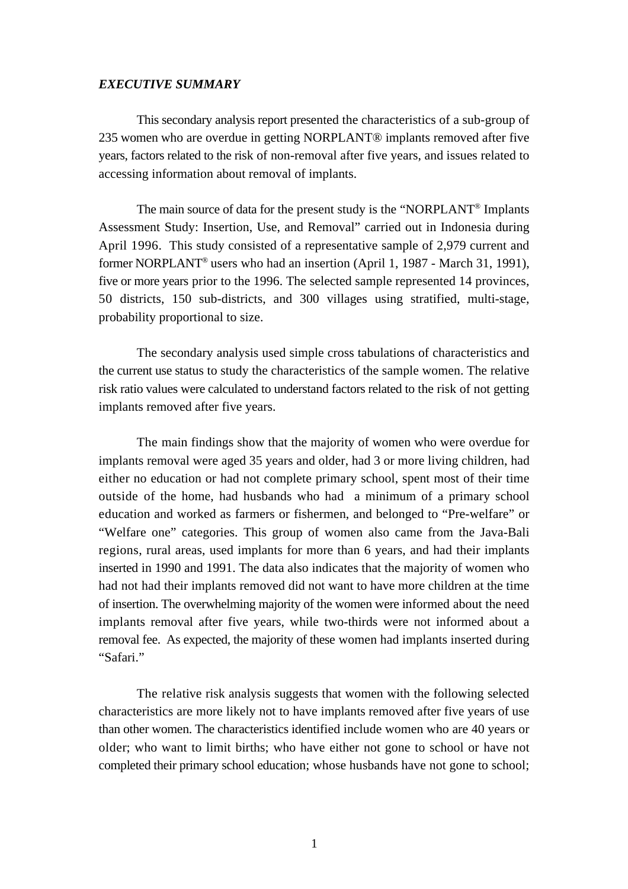#### *EXECUTIVE SUMMARY*

This secondary analysis report presented the characteristics of a sub-group of 235 women who are overdue in getting NORPLANT® implants removed after five years, factors related to the risk of non-removal after five years, and issues related to accessing information about removal of implants.

The main source of data for the present study is the "NORPLANT<sup>®</sup> Implants" Assessment Study: Insertion, Use, and Removal" carried out in Indonesia during April 1996. This study consisted of a representative sample of 2,979 current and former NORPLANT<sup>®</sup> users who had an insertion (April 1, 1987 - March 31, 1991), five or more years prior to the 1996. The selected sample represented 14 provinces, 50 districts, 150 sub-districts, and 300 villages using stratified, multi-stage, probability proportional to size.

The secondary analysis used simple cross tabulations of characteristics and the current use status to study the characteristics of the sample women. The relative risk ratio values were calculated to understand factors related to the risk of not getting implants removed after five years.

The main findings show that the majority of women who were overdue for implants removal were aged 35 years and older, had 3 or more living children, had either no education or had not complete primary school, spent most of their time outside of the home, had husbands who had a minimum of a primary school education and worked as farmers or fishermen, and belonged to "Pre-welfare" or "Welfare one" categories. This group of women also came from the Java-Bali regions, rural areas, used implants for more than 6 years, and had their implants inserted in 1990 and 1991. The data also indicates that the majority of women who had not had their implants removed did not want to have more children at the time of insertion. The overwhelming majority of the women were informed about the need implants removal after five years, while two-thirds were not informed about a removal fee. As expected, the majority of these women had implants inserted during "Safari."

The relative risk analysis suggests that women with the following selected characteristics are more likely not to have implants removed after five years of use than other women. The characteristics identified include women who are 40 years or older; who want to limit births; who have either not gone to school or have not completed their primary school education; whose husbands have not gone to school;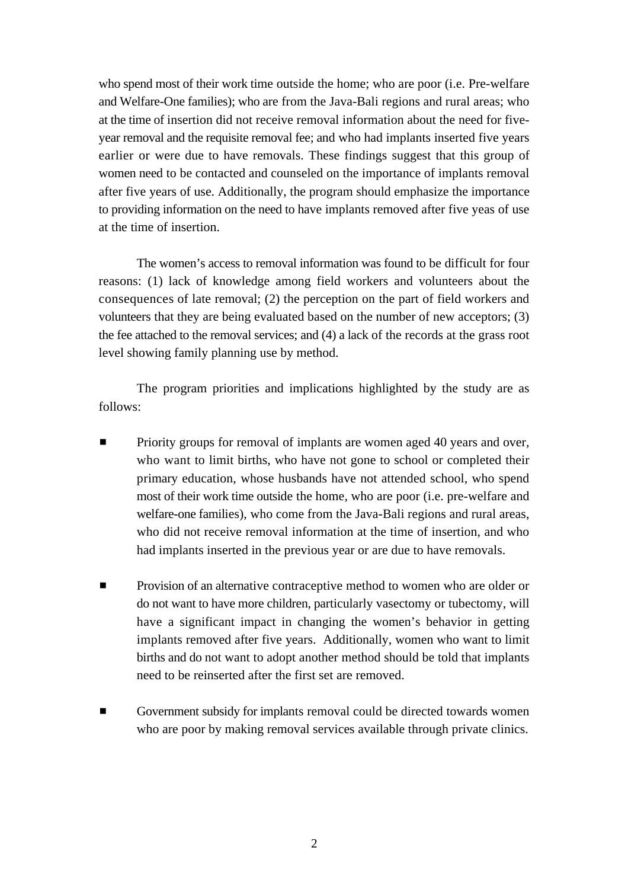who spend most of their work time outside the home; who are poor (i.e. Pre-welfare and Welfare-One families); who are from the Java-Bali regions and rural areas; who at the time of insertion did not receive removal information about the need for fiveyear removal and the requisite removal fee; and who had implants inserted five years earlier or were due to have removals. These findings suggest that this group of women need to be contacted and counseled on the importance of implants removal after five years of use. Additionally, the program should emphasize the importance to providing information on the need to have implants removed after five yeas of use at the time of insertion.

The women's access to removal information was found to be difficult for four reasons: (1) lack of knowledge among field workers and volunteers about the consequences of late removal; (2) the perception on the part of field workers and volunteers that they are being evaluated based on the number of new acceptors; (3) the fee attached to the removal services; and (4) a lack of the records at the grass root level showing family planning use by method.

The program priorities and implications highlighted by the study are as follows:

- Priority groups for removal of implants are women aged 40 years and over, who want to limit births, who have not gone to school or completed their primary education, whose husbands have not attended school, who spend most of their work time outside the home, who are poor (i.e. pre-welfare and welfare-one families), who come from the Java-Bali regions and rural areas, who did not receive removal information at the time of insertion, and who had implants inserted in the previous year or are due to have removals.
- Provision of an alternative contraceptive method to women who are older or do not want to have more children, particularly vasectomy or tubectomy, will have a significant impact in changing the women's behavior in getting implants removed after five years. Additionally, women who want to limit births and do not want to adopt another method should be told that implants need to be reinserted after the first set are removed.
- Government subsidy for implants removal could be directed towards women who are poor by making removal services available through private clinics.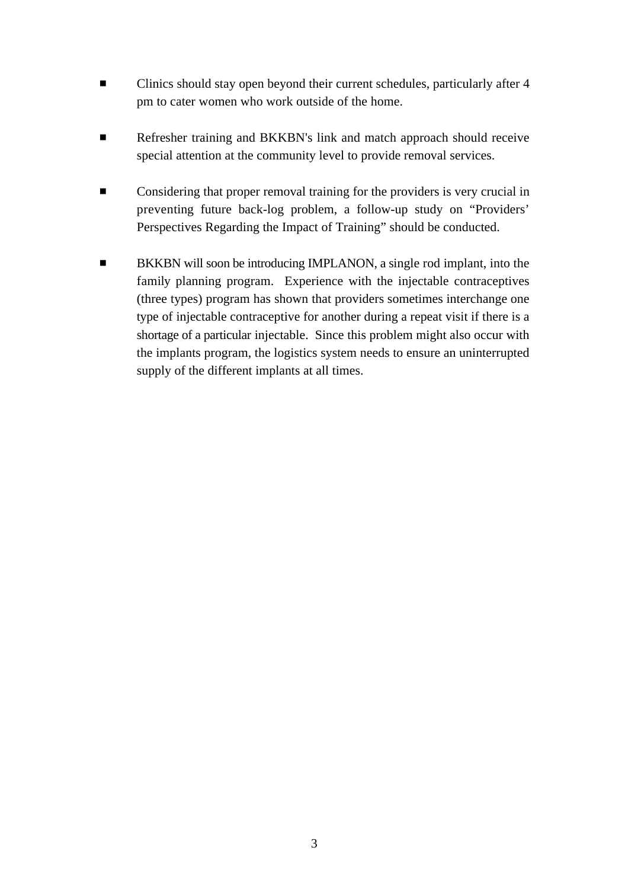- $\blacksquare$  Clinics should stay open beyond their current schedules, particularly after 4 pm to cater women who work outside of the home.
- **EXECUTE:** Refresher training and BKKBN's link and match approach should receive special attention at the community level to provide removal services.
- $\blacksquare$  Considering that proper removal training for the providers is very crucial in preventing future back-log problem, a follow-up study on "Providers' Perspectives Regarding the Impact of Training" should be conducted.
- BKKBN will soon be introducing IMPLANON, a single rod implant, into the family planning program. Experience with the injectable contraceptives (three types) program has shown that providers sometimes interchange one type of injectable contraceptive for another during a repeat visit if there is a shortage of a particular injectable. Since this problem might also occur with the implants program, the logistics system needs to ensure an uninterrupted supply of the different implants at all times.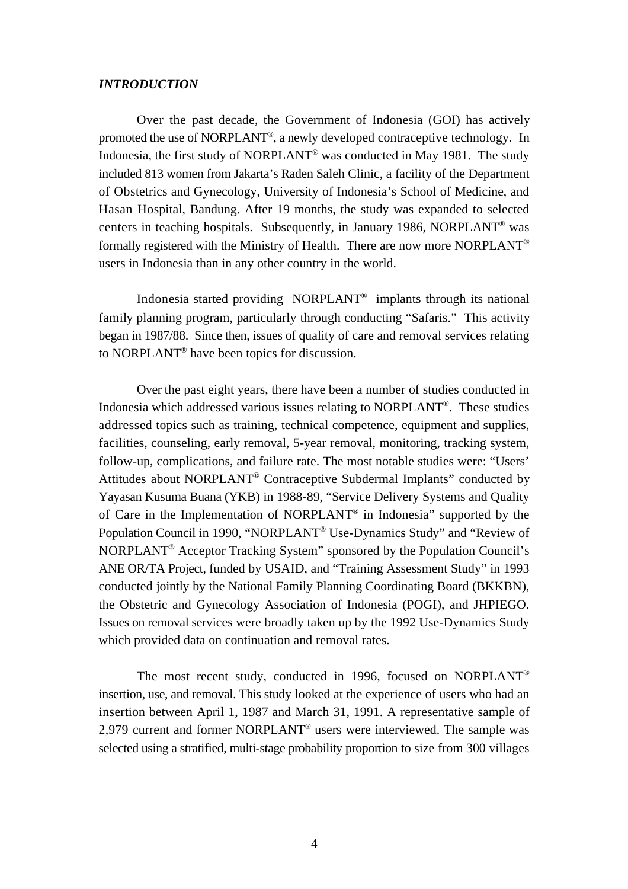#### *INTRODUCTION*

Over the past decade, the Government of Indonesia (GOI) has actively promoted the use of NORPLANT<sup>®</sup>, a newly developed contraceptive technology. In Indonesia, the first study of NORPLANT<sup>®</sup> was conducted in May 1981. The study included 813 women from Jakarta's Raden Saleh Clinic, a facility of the Department of Obstetrics and Gynecology, University of Indonesia's School of Medicine, and Hasan Hospital, Bandung. After 19 months, the study was expanded to selected centers in teaching hospitals. Subsequently, in January 1986, NORPLANT<sup>®</sup> was formally registered with the Ministry of Health. There are now more NORPLANT® users in Indonesia than in any other country in the world.

Indonesia started providing NORPLANT<sup>®</sup> implants through its national family planning program, particularly through conducting "Safaris." This activity began in 1987/88. Since then, issues of quality of care and removal services relating to NORPLANT<sup>®</sup> have been topics for discussion.

Over the past eight years, there have been a number of studies conducted in Indonesia which addressed various issues relating to NORPLANT<sup>®</sup>. These studies addressed topics such as training, technical competence, equipment and supplies, facilities, counseling, early removal, 5-year removal, monitoring, tracking system, follow-up, complications, and failure rate. The most notable studies were: "Users' Attitudes about NORPLANT® Contraceptive Subdermal Implants" conducted by Yayasan Kusuma Buana (YKB) in 1988-89, "Service Delivery Systems and Quality of Care in the Implementation of NORPLANT® in Indonesia" supported by the Population Council in 1990, "NORPLANT<sup>®</sup> Use-Dynamics Study" and "Review of NORPLANT<sup>®</sup> Acceptor Tracking System" sponsored by the Population Council's ANE OR/TA Project, funded by USAID, and "Training Assessment Study" in 1993 conducted jointly by the National Family Planning Coordinating Board (BKKBN), the Obstetric and Gynecology Association of Indonesia (POGI), and JHPIEGO. Issues on removal services were broadly taken up by the 1992 Use-Dynamics Study which provided data on continuation and removal rates.

The most recent study, conducted in 1996, focused on NORPLANT® insertion, use, and removal. This study looked at the experience of users who had an insertion between April 1, 1987 and March 31, 1991. A representative sample of 2,979 current and former NORPLANT<sup>®</sup> users were interviewed. The sample was selected using a stratified, multi-stage probability proportion to size from 300 villages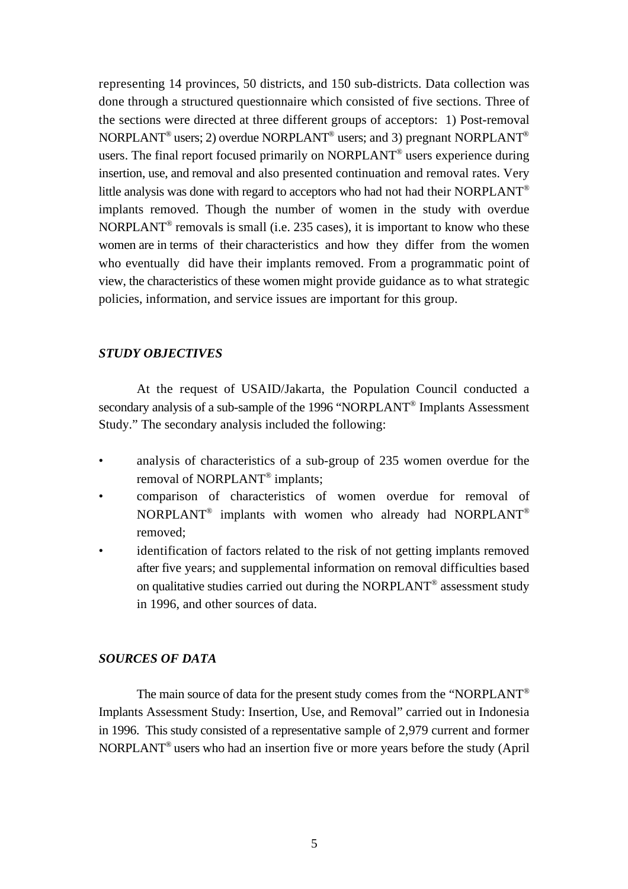representing 14 provinces, 50 districts, and 150 sub-districts. Data collection was done through a structured questionnaire which consisted of five sections. Three of the sections were directed at three different groups of acceptors: 1) Post-removal NORPLANT<sup>®</sup> users; 2) overdue NORPLANT<sup>®</sup> users; and 3) pregnant NORPLANT<sup>®</sup> users. The final report focused primarily on  $NORPLANT^\circ$  users experience during insertion, use, and removal and also presented continuation and removal rates. Very little analysis was done with regard to acceptors who had not had their NORPLANT® implants removed. Though the number of women in the study with overdue NORPLANT<sup>®</sup> removals is small (i.e. 235 cases), it is important to know who these women are in terms of their characteristics and how they differ from the women who eventually did have their implants removed. From a programmatic point of view, the characteristics of these women might provide guidance as to what strategic policies, information, and service issues are important for this group.

#### *STUDY OBJECTIVES*

At the request of USAID/Jakarta, the Population Council conducted a secondary analysis of a sub-sample of the 1996 "NORPLANT<sup>®</sup> Implants Assessment Study." The secondary analysis included the following:

- analysis of characteristics of a sub-group of 235 women overdue for the removal of NORPLANT<sup>®</sup> implants;
- comparison of characteristics of women overdue for removal of NORPLANT<sup>®</sup> implants with women who already had NORPLANT<sup>®</sup> removed;
- identification of factors related to the risk of not getting implants removed after five years; and supplemental information on removal difficulties based on qualitative studies carried out during the NORPLANT<sup>®</sup> assessment study in 1996, and other sources of data.

#### *SOURCES OF DATA*

The main source of data for the present study comes from the "NORPLANT® Implants Assessment Study: Insertion, Use, and Removal" carried out in Indonesia in 1996. This study consisted of a representative sample of 2,979 current and former NORPLANT<sup>®</sup> users who had an insertion five or more years before the study (April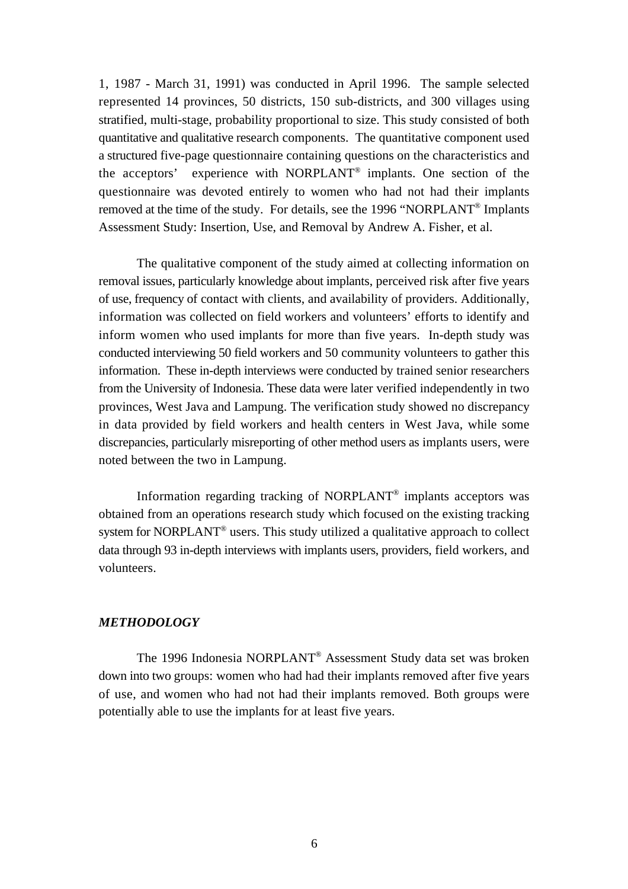1, 1987 - March 31, 1991) was conducted in April 1996. The sample selected represented 14 provinces, 50 districts, 150 sub-districts, and 300 villages using stratified, multi-stage, probability proportional to size. This study consisted of both quantitative and qualitative research components. The quantitative component used a structured five-page questionnaire containing questions on the characteristics and the acceptors' experience with NORPLANT<sup>®</sup> implants. One section of the questionnaire was devoted entirely to women who had not had their implants removed at the time of the study. For details, see the 1996 "NORPLANT<sup>®</sup> Implants Assessment Study: Insertion, Use, and Removal by Andrew A. Fisher, et al.

The qualitative component of the study aimed at collecting information on removal issues, particularly knowledge about implants, perceived risk after five years of use, frequency of contact with clients, and availability of providers. Additionally, information was collected on field workers and volunteers' efforts to identify and inform women who used implants for more than five years. In-depth study was conducted interviewing 50 field workers and 50 community volunteers to gather this information. These in-depth interviews were conducted by trained senior researchers from the University of Indonesia. These data were later verified independently in two provinces, West Java and Lampung. The verification study showed no discrepancy in data provided by field workers and health centers in West Java, while some discrepancies, particularly misreporting of other method users as implants users, were noted between the two in Lampung.

Information regarding tracking of NORPLANT® implants acceptors was obtained from an operations research study which focused on the existing tracking system for NORPLANT<sup>®</sup> users. This study utilized a qualitative approach to collect data through 93 in-depth interviews with implants users, providers, field workers, and volunteers.

#### *METHODOLOGY*

The 1996 Indonesia NORPLANT® Assessment Study data set was broken down into two groups: women who had had their implants removed after five years of use, and women who had not had their implants removed. Both groups were potentially able to use the implants for at least five years.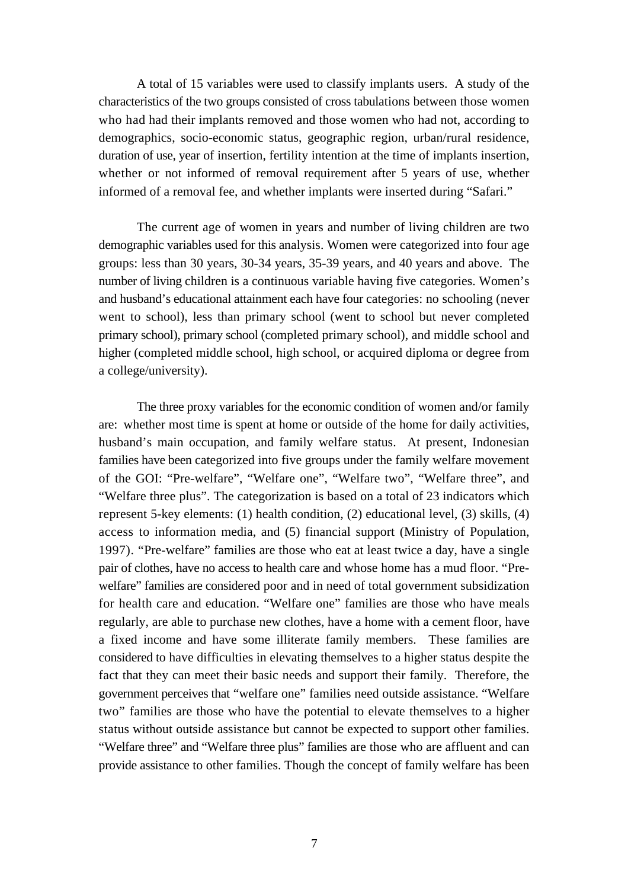A total of 15 variables were used to classify implants users. A study of the characteristics of the two groups consisted of cross tabulations between those women who had had their implants removed and those women who had not, according to demographics, socio-economic status, geographic region, urban/rural residence, duration of use, year of insertion, fertility intention at the time of implants insertion, whether or not informed of removal requirement after 5 years of use, whether informed of a removal fee, and whether implants were inserted during "Safari."

The current age of women in years and number of living children are two demographic variables used for this analysis. Women were categorized into four age groups: less than 30 years, 30-34 years, 35-39 years, and 40 years and above. The number of living children is a continuous variable having five categories. Women's and husband's educational attainment each have four categories: no schooling (never went to school), less than primary school (went to school but never completed primary school), primary school (completed primary school), and middle school and higher (completed middle school, high school, or acquired diploma or degree from a college/university).

The three proxy variables for the economic condition of women and/or family are: whether most time is spent at home or outside of the home for daily activities, husband's main occupation, and family welfare status. At present, Indonesian families have been categorized into five groups under the family welfare movement of the GOI: "Pre-welfare", "Welfare one", "Welfare two", "Welfare three", and "Welfare three plus". The categorization is based on a total of 23 indicators which represent 5-key elements: (1) health condition, (2) educational level, (3) skills, (4) access to information media, and (5) financial support (Ministry of Population, 1997). "Pre-welfare" families are those who eat at least twice a day, have a single pair of clothes, have no access to health care and whose home has a mud floor. "Prewelfare" families are considered poor and in need of total government subsidization for health care and education. "Welfare one" families are those who have meals regularly, are able to purchase new clothes, have a home with a cement floor, have a fixed income and have some illiterate family members. These families are considered to have difficulties in elevating themselves to a higher status despite the fact that they can meet their basic needs and support their family. Therefore, the government perceives that "welfare one" families need outside assistance. "Welfare two" families are those who have the potential to elevate themselves to a higher status without outside assistance but cannot be expected to support other families. "Welfare three" and "Welfare three plus" families are those who are affluent and can provide assistance to other families. Though the concept of family welfare has been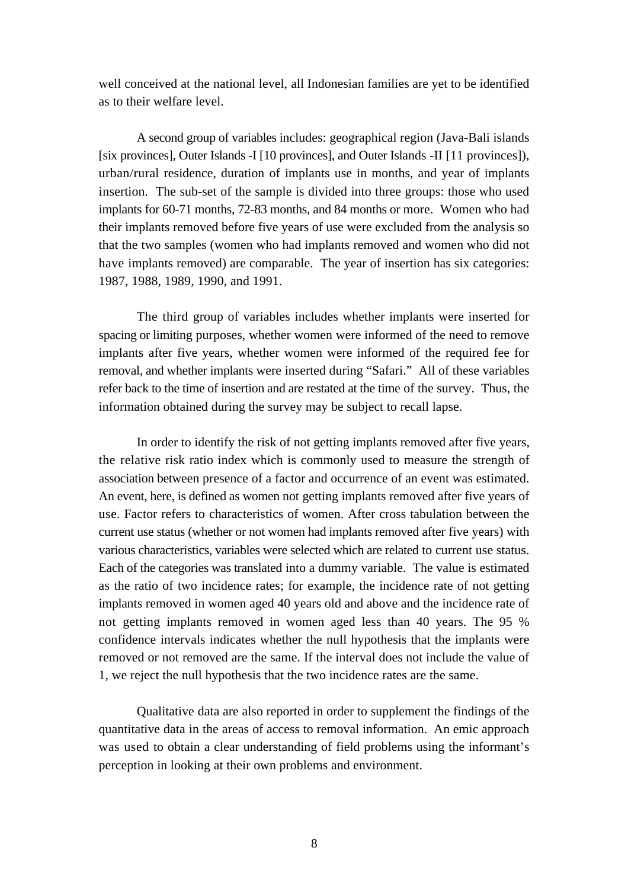well conceived at the national level, all Indonesian families are yet to be identified as to their welfare level.

A second group of variables includes: geographical region (Java-Bali islands [six provinces], Outer Islands -I [10 provinces], and Outer Islands -II [11 provinces]), urban/rural residence, duration of implants use in months, and year of implants insertion. The sub-set of the sample is divided into three groups: those who used implants for 60-71 months, 72-83 months, and 84 months or more. Women who had their implants removed before five years of use were excluded from the analysis so that the two samples (women who had implants removed and women who did not have implants removed) are comparable. The year of insertion has six categories: 1987, 1988, 1989, 1990, and 1991.

The third group of variables includes whether implants were inserted for spacing or limiting purposes, whether women were informed of the need to remove implants after five years, whether women were informed of the required fee for removal, and whether implants were inserted during "Safari." All of these variables refer back to the time of insertion and are restated at the time of the survey. Thus, the information obtained during the survey may be subject to recall lapse.

In order to identify the risk of not getting implants removed after five years, the relative risk ratio index which is commonly used to measure the strength of association between presence of a factor and occurrence of an event was estimated. An event, here, is defined as women not getting implants removed after five years of use. Factor refers to characteristics of women. After cross tabulation between the current use status (whether or not women had implants removed after five years) with various characteristics, variables were selected which are related to current use status. Each of the categories was translated into a dummy variable. The value is estimated as the ratio of two incidence rates; for example, the incidence rate of not getting implants removed in women aged 40 years old and above and the incidence rate of not getting implants removed in women aged less than 40 years. The 95 % confidence intervals indicates whether the null hypothesis that the implants were removed or not removed are the same. If the interval does not include the value of 1, we reject the null hypothesis that the two incidence rates are the same.

Qualitative data are also reported in order to supplement the findings of the quantitative data in the areas of access to removal information. An emic approach was used to obtain a clear understanding of field problems using the informant's perception in looking at their own problems and environment.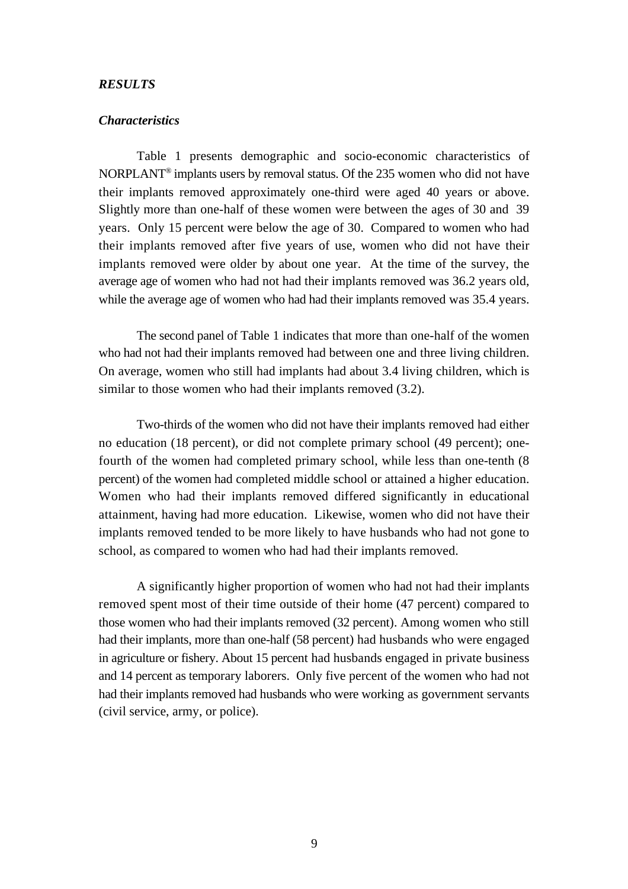#### *RESULTS*

#### *Characteristics*

Table 1 presents demographic and socio-economic characteristics of NORPLANT<sup>®</sup> implants users by removal status. Of the 235 women who did not have their implants removed approximately one-third were aged 40 years or above. Slightly more than one-half of these women were between the ages of 30 and 39 years. Only 15 percent were below the age of 30. Compared to women who had their implants removed after five years of use, women who did not have their implants removed were older by about one year. At the time of the survey, the average age of women who had not had their implants removed was 36.2 years old, while the average age of women who had had their implants removed was 35.4 years.

The second panel of Table 1 indicates that more than one-half of the women who had not had their implants removed had between one and three living children. On average, women who still had implants had about 3.4 living children, which is similar to those women who had their implants removed  $(3.2)$ .

Two-thirds of the women who did not have their implants removed had either no education (18 percent), or did not complete primary school (49 percent); onefourth of the women had completed primary school, while less than one-tenth (8 percent) of the women had completed middle school or attained a higher education. Women who had their implants removed differed significantly in educational attainment, having had more education. Likewise, women who did not have their implants removed tended to be more likely to have husbands who had not gone to school, as compared to women who had had their implants removed.

A significantly higher proportion of women who had not had their implants removed spent most of their time outside of their home (47 percent) compared to those women who had their implants removed (32 percent). Among women who still had their implants, more than one-half (58 percent) had husbands who were engaged in agriculture or fishery. About 15 percent had husbands engaged in private business and 14 percent as temporary laborers. Only five percent of the women who had not had their implants removed had husbands who were working as government servants (civil service, army, or police).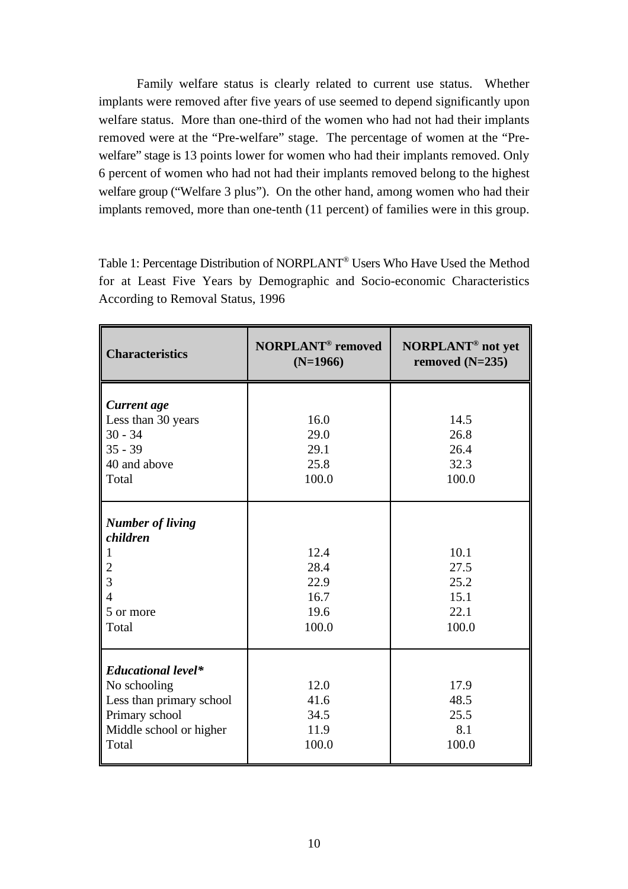Family welfare status is clearly related to current use status. Whether implants were removed after five years of use seemed to depend significantly upon welfare status. More than one-third of the women who had not had their implants removed were at the "Pre-welfare" stage. The percentage of women at the "Prewelfare" stage is 13 points lower for women who had their implants removed. Only 6 percent of women who had not had their implants removed belong to the highest welfare group ("Welfare 3 plus"). On the other hand, among women who had their implants removed, more than one-tenth (11 percent) of families were in this group.

Table 1: Percentage Distribution of NORPLANT® Users Who Have Used the Method for at Least Five Years by Demographic and Socio-economic Characteristics According to Removal Status, 1996

| <b>Characteristics</b>                                                                                                      | <b>NORPLANT<sup>®</sup></b> removed<br>$(N=1966)$ | <b>NORPLANT<sup>®</sup></b> not yet<br>removed $(N=235)$ |  |
|-----------------------------------------------------------------------------------------------------------------------------|---------------------------------------------------|----------------------------------------------------------|--|
| Current age<br>Less than 30 years<br>$30 - 34$<br>$35 - 39$<br>40 and above<br>Total                                        | 16.0<br>29.0<br>29.1<br>25.8<br>100.0             | 14.5<br>26.8<br>26.4<br>32.3<br>100.0                    |  |
| <b>Number of living</b><br>children<br>1<br>$\overline{2}$<br>3<br>$\overline{4}$<br>5 or more<br>Total                     | 12.4<br>28.4<br>22.9<br>16.7<br>19.6<br>100.0     | 10.1<br>27.5<br>25.2<br>15.1<br>22.1<br>100.0            |  |
| <b>Educational level*</b><br>No schooling<br>Less than primary school<br>Primary school<br>Middle school or higher<br>Total | 12.0<br>41.6<br>34.5<br>11.9<br>100.0             | 17.9<br>48.5<br>25.5<br>8.1<br>100.0                     |  |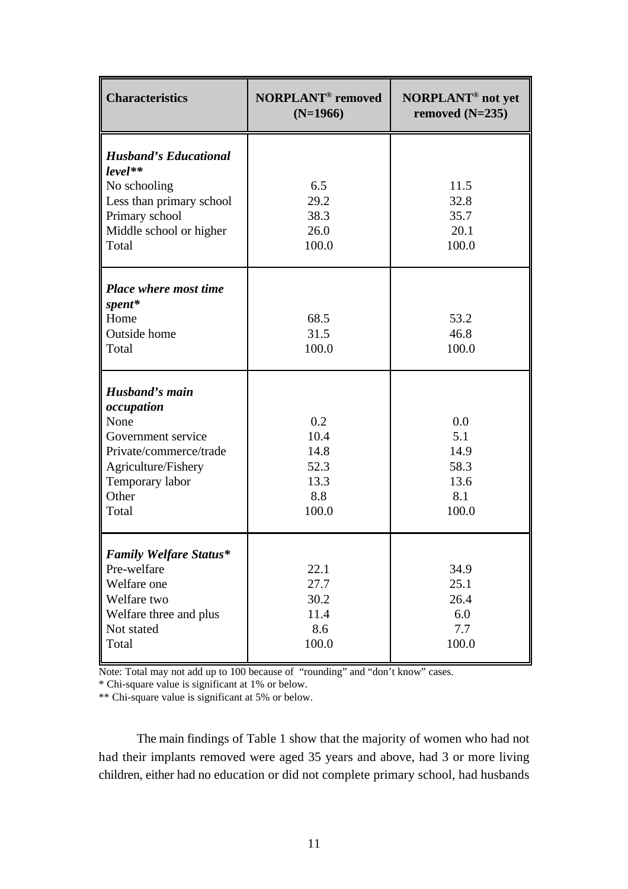| <b>Characteristics</b>                                                                                                                           | <b>NORPLANT<sup>®</sup></b> removed<br>$(N=1966)$   | NORPLANT <sup>®</sup> not yet<br>removed $(N=235)$ |  |
|--------------------------------------------------------------------------------------------------------------------------------------------------|-----------------------------------------------------|----------------------------------------------------|--|
| <b>Husband's Educational</b><br>$level**$<br>No schooling<br>Less than primary school<br>Primary school<br>Middle school or higher<br>Total      | 6.5<br>29.2<br>38.3<br>26.0<br>100.0                | 11.5<br>32.8<br>35.7<br>20.1<br>100.0              |  |
| Place where most time<br>spent*<br>Home<br>Outside home<br>Total                                                                                 | 68.5<br>31.5<br>100.0                               | 53.2<br>46.8<br>100.0                              |  |
| Husband's main<br>occupation<br>None<br>Government service<br>Private/commerce/trade<br>Agriculture/Fishery<br>Temporary labor<br>Other<br>Total | 0.2<br>10.4<br>14.8<br>52.3<br>13.3<br>8.8<br>100.0 | 0.0<br>5.1<br>14.9<br>58.3<br>13.6<br>8.1<br>100.0 |  |
| <b>Family Welfare Status*</b><br>Pre-welfare<br>Welfare one<br>Welfare two<br>Welfare three and plus<br>Not stated<br>Total                      | 22.1<br>27.7<br>30.2<br>11.4<br>8.6<br>100.0        | 34.9<br>25.1<br>26.4<br>6.0<br>7.7<br>100.0        |  |

Note: Total may not add up to 100 because of "rounding" and "don't know" cases.

\* Chi-square value is significant at 1% or below.

\*\* Chi-square value is significant at 5% or below.

The main findings of Table 1 show that the majority of women who had not had their implants removed were aged 35 years and above, had 3 or more living children, either had no education or did not complete primary school, had husbands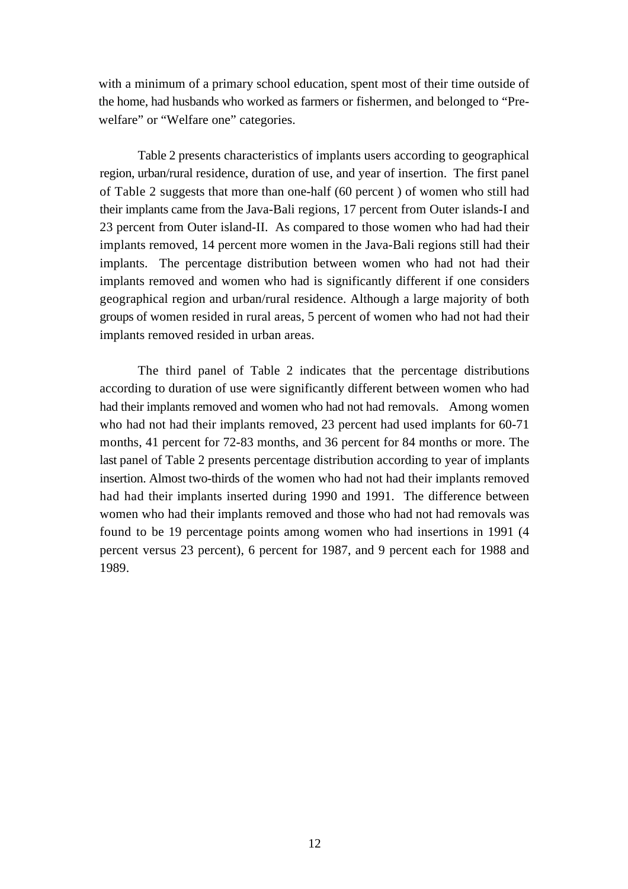with a minimum of a primary school education, spent most of their time outside of the home, had husbands who worked as farmers or fishermen, and belonged to "Prewelfare" or "Welfare one" categories.

Table 2 presents characteristics of implants users according to geographical region, urban/rural residence, duration of use, and year of insertion. The first panel of Table 2 suggests that more than one-half (60 percent ) of women who still had their implants came from the Java-Bali regions, 17 percent from Outer islands-I and 23 percent from Outer island-II. As compared to those women who had had their implants removed, 14 percent more women in the Java-Bali regions still had their implants. The percentage distribution between women who had not had their implants removed and women who had is significantly different if one considers geographical region and urban/rural residence. Although a large majority of both groups of women resided in rural areas, 5 percent of women who had not had their implants removed resided in urban areas.

The third panel of Table 2 indicates that the percentage distributions according to duration of use were significantly different between women who had had their implants removed and women who had not had removals. Among women who had not had their implants removed, 23 percent had used implants for 60-71 months, 41 percent for 72-83 months, and 36 percent for 84 months or more. The last panel of Table 2 presents percentage distribution according to year of implants insertion. Almost two-thirds of the women who had not had their implants removed had had their implants inserted during 1990 and 1991. The difference between women who had their implants removed and those who had not had removals was found to be 19 percentage points among women who had insertions in 1991 (4 percent versus 23 percent), 6 percent for 1987, and 9 percent each for 1988 and 1989.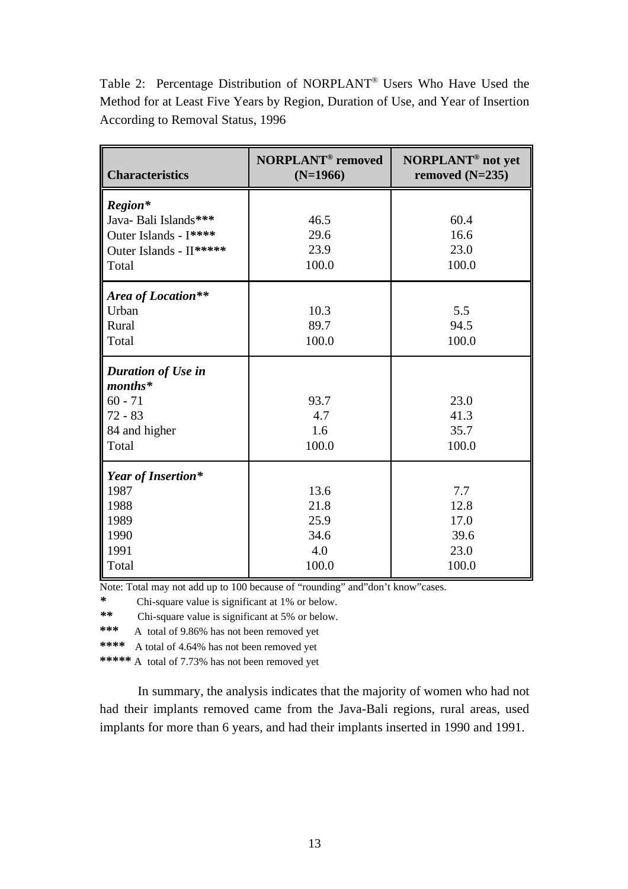Table 2: Percentage Distribution of NORPLANT® Users Who Have Used the Method for at Least Five Years by Region, Duration of Use, and Year of Insertion According to Removal Status, 1996

| <b>Characteristics</b>                                                                        | <b>NORPLANT<sup>®</sup></b> removed<br>$(N=1966)$ | <b>NORPLANT<sup>®</sup></b> not yet<br>removed $(N=235)$ |
|-----------------------------------------------------------------------------------------------|---------------------------------------------------|----------------------------------------------------------|
| Region*<br>Java- Bali Islands***<br>Outer Islands - I****<br>Outer Islands - II*****<br>Total | 46.5<br>29.6<br>23.9<br>100.0                     | 60.4<br>16.6<br>23.0<br>100.0                            |
| Area of Location**<br>Urban<br>Rural<br>Total                                                 | 10.3<br>89.7<br>100.0                             | 5.5<br>94.5<br>100.0                                     |
| Duration of Use in<br>$\n  months*\n$<br>$60 - 71$<br>$72 - 83$<br>84 and higher<br>Total     | 93.7<br>4.7<br>1.6<br>100.0                       | 23.0<br>41.3<br>35.7<br>100.0                            |
| Year of Insertion*<br>1987<br>1988<br>1989<br>1990<br>1991<br>Total                           | 13.6<br>21.8<br>25.9<br>34.6<br>4.0<br>100.0      | 7.7<br>12.8<br>17.0<br>39.6<br>23.0<br>100.0             |

Note: Total may not add up to 100 because of "rounding" and"don't know"cases.

*\** Chi-square value is significant at 1% or below.

*\*\** Chi-square value is significant at 5% or below.

**\*\*\*** A total of 9.86% has not been removed yet

**\*\*\*\*** A total of 4.64% has not been removed yet

**\*\*\*\*\*** A total of 7.73% has not been removed yet

In summary, the analysis indicates that the majority of women who had not had their implants removed came from the Java-Bali regions, rural areas, used implants for more than 6 years, and had their implants inserted in 1990 and 1991.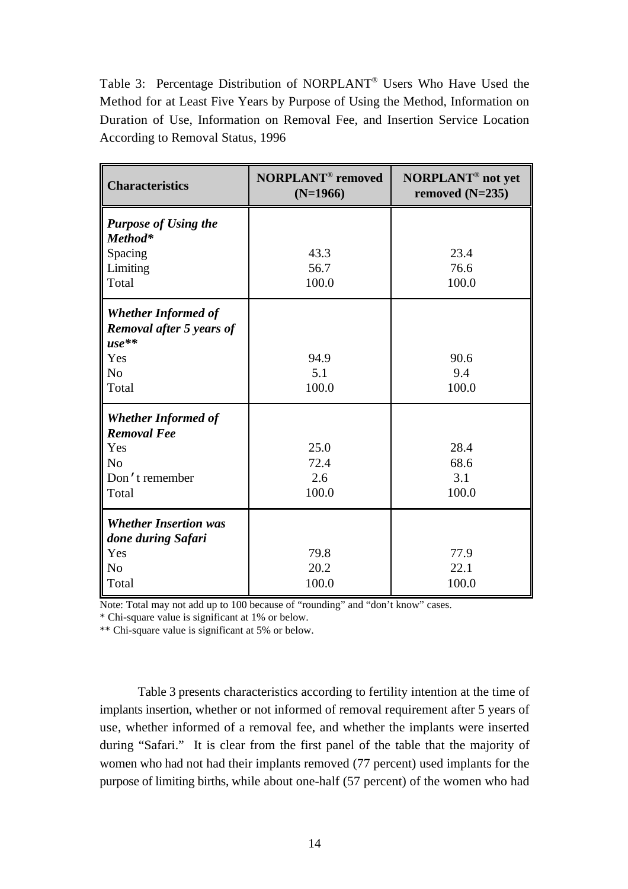Table 3: Percentage Distribution of NORPLANT® Users Who Have Used the Method for at Least Five Years by Purpose of Using the Method, Information on Duration of Use, Information on Removal Fee, and Insertion Service Location According to Removal Status, 1996

| <b>Characteristics</b>                                            | <b>NORPLANT<sup>®</sup></b> removed<br>$(N=1966)$ | <b>NORPLANT<sup>®</sup></b> not yet<br>removed $(N=235)$ |  |
|-------------------------------------------------------------------|---------------------------------------------------|----------------------------------------------------------|--|
| <b>Purpose of Using the</b><br>Method*                            |                                                   |                                                          |  |
| Spacing                                                           | 43.3                                              | 23.4                                                     |  |
| Limiting                                                          | 56.7                                              | 76.6                                                     |  |
| Total                                                             | 100.0                                             | 100.0                                                    |  |
| <b>Whether Informed of</b><br>Removal after 5 years of<br>$use**$ |                                                   |                                                          |  |
| Yes                                                               | 94.9                                              | 90.6                                                     |  |
| N <sub>o</sub>                                                    | 5.1                                               | 9.4                                                      |  |
| Total                                                             | 100.0                                             | 100.0                                                    |  |
| <b>Whether Informed of</b><br><b>Removal Fee</b>                  |                                                   |                                                          |  |
| Yes                                                               | 25.0                                              | 28.4                                                     |  |
| N <sub>0</sub>                                                    | 72.4                                              | 68.6                                                     |  |
| Don't remember                                                    | 2.6                                               | 3.1                                                      |  |
| Total                                                             | 100.0                                             | 100.0                                                    |  |
| <b>Whether Insertion was</b><br>done during Safari                |                                                   |                                                          |  |
| Yes                                                               | 79.8                                              | 77.9                                                     |  |
| N <sub>o</sub>                                                    | 20.2                                              | 22.1                                                     |  |
| Total                                                             | 100.0                                             | 100.0                                                    |  |

Note: Total may not add up to 100 because of "rounding" and "don't know" cases.

\* Chi-square value is significant at 1% or below.

\*\* Chi-square value is significant at 5% or below.

Table 3 presents characteristics according to fertility intention at the time of implants insertion, whether or not informed of removal requirement after 5 years of use, whether informed of a removal fee, and whether the implants were inserted during "Safari." It is clear from the first panel of the table that the majority of women who had not had their implants removed (77 percent) used implants for the purpose of limiting births, while about one-half (57 percent) of the women who had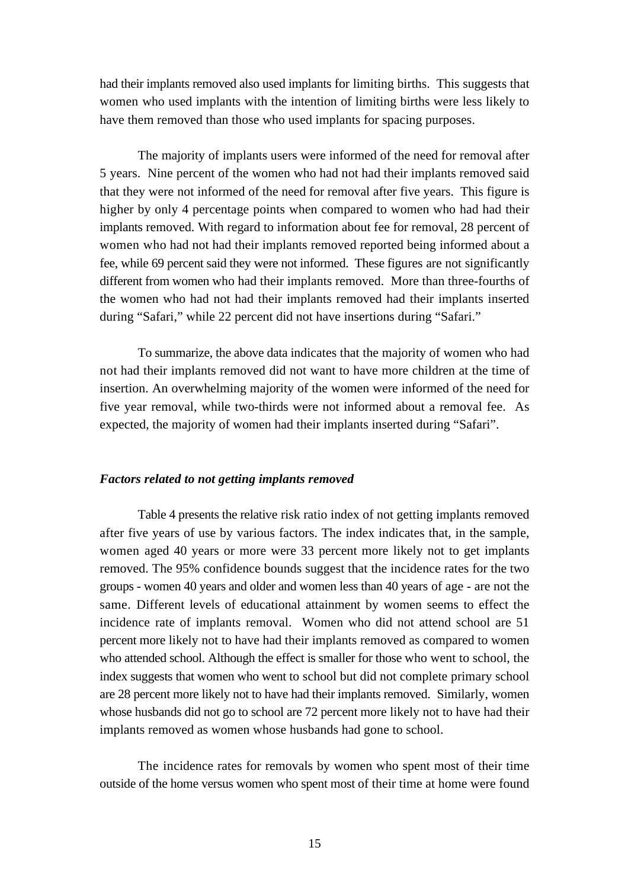had their implants removed also used implants for limiting births. This suggests that women who used implants with the intention of limiting births were less likely to have them removed than those who used implants for spacing purposes.

The majority of implants users were informed of the need for removal after 5 years. Nine percent of the women who had not had their implants removed said that they were not informed of the need for removal after five years. This figure is higher by only 4 percentage points when compared to women who had had their implants removed. With regard to information about fee for removal, 28 percent of women who had not had their implants removed reported being informed about a fee, while 69 percent said they were not informed. These figures are not significantly different from women who had their implants removed. More than three-fourths of the women who had not had their implants removed had their implants inserted during "Safari," while 22 percent did not have insertions during "Safari."

To summarize, the above data indicates that the majority of women who had not had their implants removed did not want to have more children at the time of insertion. An overwhelming majority of the women were informed of the need for five year removal, while two-thirds were not informed about a removal fee. As expected, the majority of women had their implants inserted during "Safari".

#### *Factors related to not getting implants removed*

Table 4 presents the relative risk ratio index of not getting implants removed after five years of use by various factors. The index indicates that, in the sample, women aged 40 years or more were 33 percent more likely not to get implants removed. The 95% confidence bounds suggest that the incidence rates for the two groups - women 40 years and older and women less than 40 years of age - are not the same. Different levels of educational attainment by women seems to effect the incidence rate of implants removal. Women who did not attend school are 51 percent more likely not to have had their implants removed as compared to women who attended school. Although the effect is smaller for those who went to school, the index suggests that women who went to school but did not complete primary school are 28 percent more likely not to have had their implants removed. Similarly, women whose husbands did not go to school are 72 percent more likely not to have had their implants removed as women whose husbands had gone to school.

The incidence rates for removals by women who spent most of their time outside of the home versus women who spent most of their time at home were found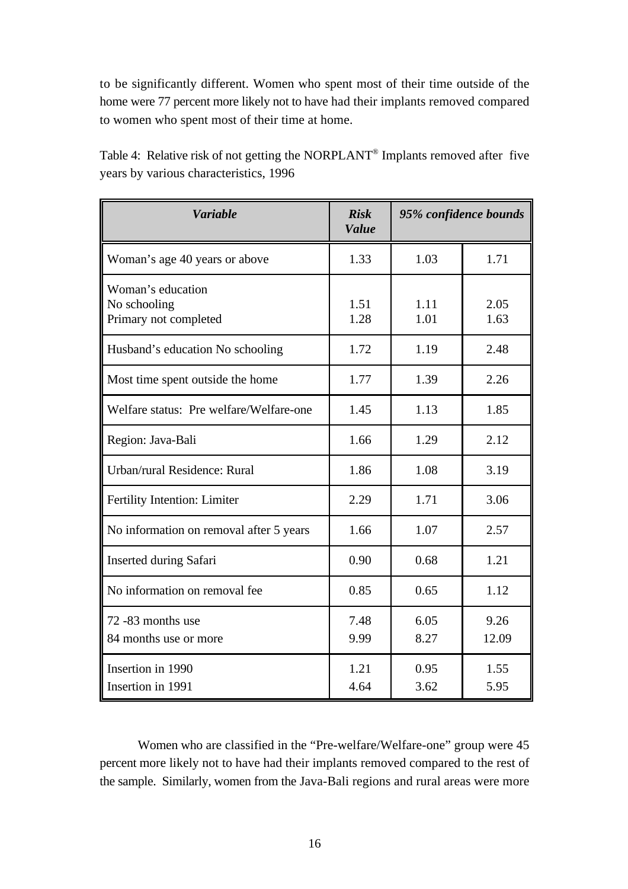to be significantly different. Women who spent most of their time outside of the home were 77 percent more likely not to have had their implants removed compared to women who spent most of their time at home.

| <b>Variable</b>                                            | <b>Risk</b><br><b>Value</b> | 95% confidence bounds |               |
|------------------------------------------------------------|-----------------------------|-----------------------|---------------|
| Woman's age 40 years or above                              | 1.33                        | 1.03                  | 1.71          |
| Woman's education<br>No schooling<br>Primary not completed | 1.51<br>1.28                | 1.11<br>1.01          | 2.05<br>1.63  |
| Husband's education No schooling                           | 1.72                        | 1.19                  | 2.48          |
| Most time spent outside the home                           | 1.77                        | 1.39                  | 2.26          |
| Welfare status: Pre welfare/Welfare-one                    | 1.45                        | 1.13                  | 1.85          |
| Region: Java-Bali                                          | 1.66                        | 1.29                  | 2.12          |
| Urban/rural Residence: Rural                               | 1.86                        | 1.08                  | 3.19          |
| Fertility Intention: Limiter                               | 2.29                        | 1.71                  | 3.06          |
| No information on removal after 5 years                    | 1.66                        | 1.07                  | 2.57          |
| <b>Inserted during Safari</b>                              | 0.90                        | 0.68                  | 1.21          |
| No information on removal fee                              | 0.85                        | 0.65                  | 1.12          |
| 72 -83 months use<br>84 months use or more                 | 7.48<br>9.99                | 6.05<br>8.27          | 9.26<br>12.09 |
| Insertion in 1990<br>Insertion in 1991                     | 1.21<br>4.64                | 0.95<br>3.62          | 1.55<br>5.95  |

Table 4: Relative risk of not getting the NORPLANT<sup>®</sup> Implants removed after five years by various characteristics, 1996

Women who are classified in the "Pre-welfare/Welfare-one" group were 45 percent more likely not to have had their implants removed compared to the rest of the sample. Similarly, women from the Java-Bali regions and rural areas were more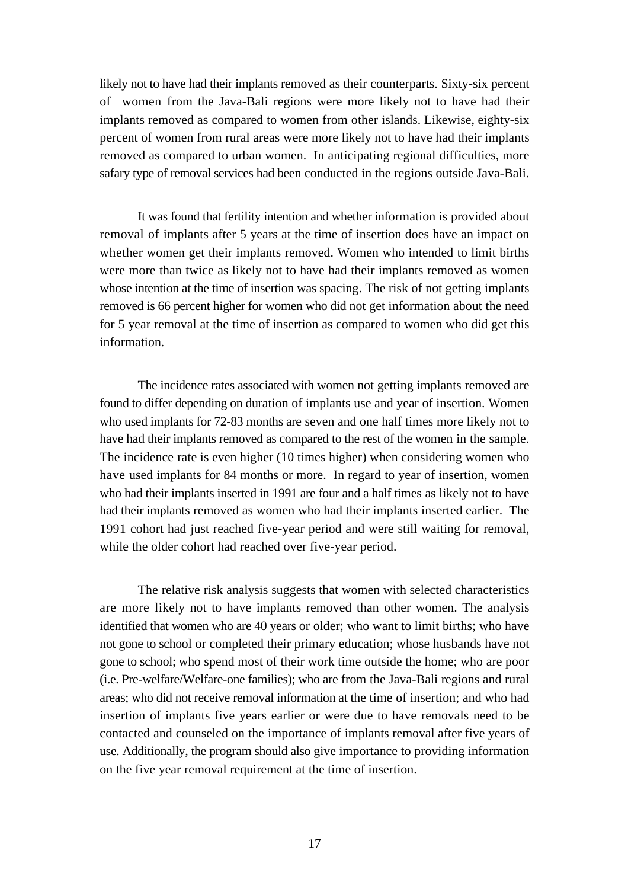likely not to have had their implants removed as their counterparts. Sixty-six percent of women from the Java-Bali regions were more likely not to have had their implants removed as compared to women from other islands. Likewise, eighty-six percent of women from rural areas were more likely not to have had their implants removed as compared to urban women. In anticipating regional difficulties, more safary type of removal services had been conducted in the regions outside Java-Bali.

It was found that fertility intention and whether information is provided about removal of implants after 5 years at the time of insertion does have an impact on whether women get their implants removed. Women who intended to limit births were more than twice as likely not to have had their implants removed as women whose intention at the time of insertion was spacing. The risk of not getting implants removed is 66 percent higher for women who did not get information about the need for 5 year removal at the time of insertion as compared to women who did get this information.

The incidence rates associated with women not getting implants removed are found to differ depending on duration of implants use and year of insertion. Women who used implants for 72-83 months are seven and one half times more likely not to have had their implants removed as compared to the rest of the women in the sample. The incidence rate is even higher (10 times higher) when considering women who have used implants for 84 months or more. In regard to year of insertion, women who had their implants inserted in 1991 are four and a half times as likely not to have had their implants removed as women who had their implants inserted earlier. The 1991 cohort had just reached five-year period and were still waiting for removal, while the older cohort had reached over five-year period.

The relative risk analysis suggests that women with selected characteristics are more likely not to have implants removed than other women. The analysis identified that women who are 40 years or older; who want to limit births; who have not gone to school or completed their primary education; whose husbands have not gone to school; who spend most of their work time outside the home; who are poor (i.e. Pre-welfare/Welfare-one families); who are from the Java-Bali regions and rural areas; who did not receive removal information at the time of insertion; and who had insertion of implants five years earlier or were due to have removals need to be contacted and counseled on the importance of implants removal after five years of use. Additionally, the program should also give importance to providing information on the five year removal requirement at the time of insertion.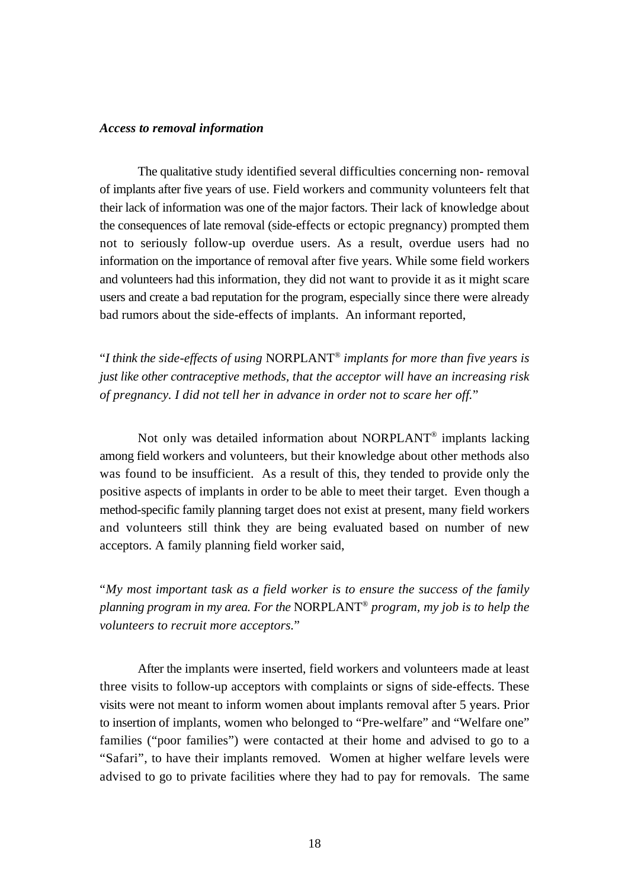#### *Access to removal information*

The qualitative study identified several difficulties concerning non- removal of implants after five years of use. Field workers and community volunteers felt that their lack of information was one of the major factors. Their lack of knowledge about the consequences of late removal (side-effects or ectopic pregnancy) prompted them not to seriously follow-up overdue users. As a result, overdue users had no information on the importance of removal after five years. While some field workers and volunteers had this information, they did not want to provide it as it might scare users and create a bad reputation for the program, especially since there were already bad rumors about the side-effects of implants. An informant reported,

"*I think the side-effects of using NORPLANT*<sup>®</sup> *implants for more than five years is just like other contraceptive methods, that the acceptor will have an increasing risk of pregnancy. I did not tell her in advance in order not to scare her off.*"

Not only was detailed information about NORPLANT® implants lacking among field workers and volunteers, but their knowledge about other methods also was found to be insufficient. As a result of this, they tended to provide only the positive aspects of implants in order to be able to meet their target. Even though a method-specific family planning target does not exist at present, many field workers and volunteers still think they are being evaluated based on number of new acceptors. A family planning field worker said,

"*My most important task as a field worker is to ensure the success of the family planning program in my area. For the* NORPLANT<sup>®</sup> *program, my job is to help the volunteers to recruit more acceptors.*"

After the implants were inserted, field workers and volunteers made at least three visits to follow-up acceptors with complaints or signs of side-effects. These visits were not meant to inform women about implants removal after 5 years. Prior to insertion of implants, women who belonged to "Pre-welfare" and "Welfare one" families ("poor families") were contacted at their home and advised to go to a "Safari", to have their implants removed. Women at higher welfare levels were advised to go to private facilities where they had to pay for removals. The same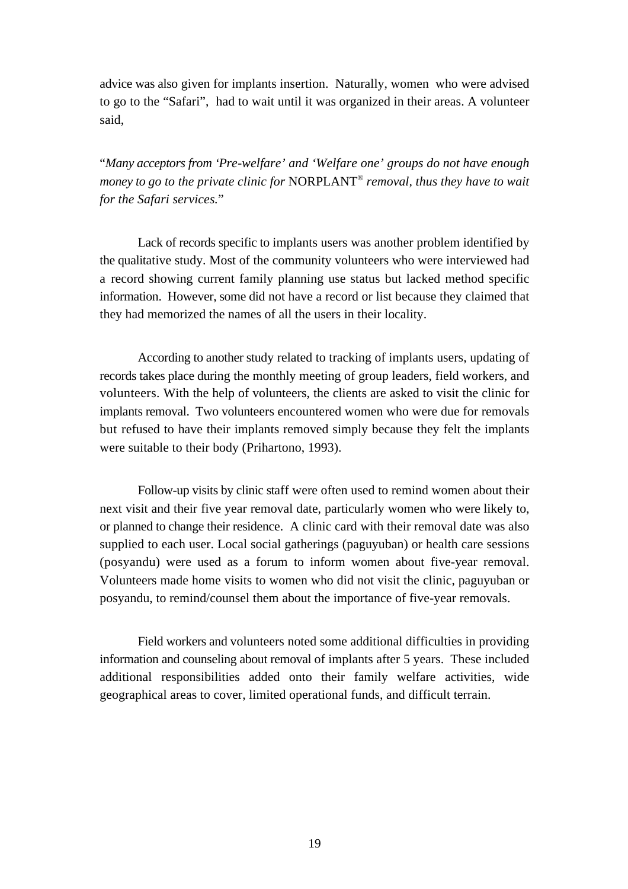advice was also given for implants insertion. Naturally, women who were advised to go to the "Safari", had to wait until it was organized in their areas. A volunteer said,

"*Many acceptors from 'Pre-welfare' and 'Welfare one' groups do not have enough money to go to the private clinic for* **NORPLANT<sup>®</sup>** *removal, thus they have to wait for the Safari services.*"

Lack of records specific to implants users was another problem identified by the qualitative study. Most of the community volunteers who were interviewed had a record showing current family planning use status but lacked method specific information. However, some did not have a record or list because they claimed that they had memorized the names of all the users in their locality.

According to another study related to tracking of implants users, updating of records takes place during the monthly meeting of group leaders, field workers, and volunteers. With the help of volunteers, the clients are asked to visit the clinic for implants removal. Two volunteers encountered women who were due for removals but refused to have their implants removed simply because they felt the implants were suitable to their body (Prihartono, 1993).

Follow-up visits by clinic staff were often used to remind women about their next visit and their five year removal date, particularly women who were likely to, or planned to change their residence. A clinic card with their removal date was also supplied to each user. Local social gatherings (paguyuban) or health care sessions (posyandu) were used as a forum to inform women about five-year removal. Volunteers made home visits to women who did not visit the clinic, paguyuban or posyandu, to remind/counsel them about the importance of five-year removals.

Field workers and volunteers noted some additional difficulties in providing information and counseling about removal of implants after 5 years. These included additional responsibilities added onto their family welfare activities, wide geographical areas to cover, limited operational funds, and difficult terrain.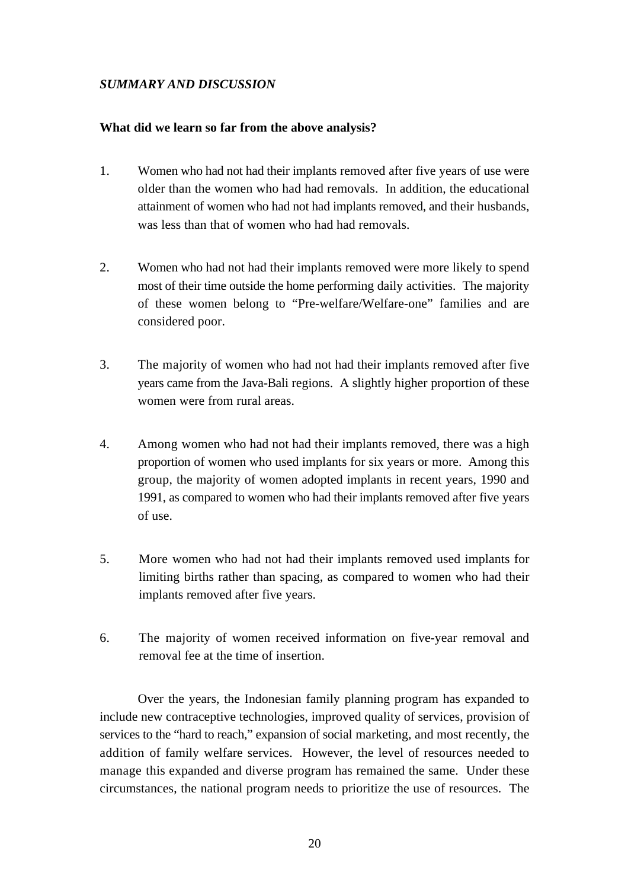#### *SUMMARY AND DISCUSSION*

#### **What did we learn so far from the above analysis?**

- 1. Women who had not had their implants removed after five years of use were older than the women who had had removals. In addition, the educational attainment of women who had not had implants removed, and their husbands, was less than that of women who had had removals.
- 2. Women who had not had their implants removed were more likely to spend most of their time outside the home performing daily activities. The majority of these women belong to "Pre-welfare/Welfare-one" families and are considered poor.
- 3. The majority of women who had not had their implants removed after five years came from the Java-Bali regions. A slightly higher proportion of these women were from rural areas.
- 4. Among women who had not had their implants removed, there was a high proportion of women who used implants for six years or more. Among this group, the majority of women adopted implants in recent years, 1990 and 1991, as compared to women who had their implants removed after five years of use.
- 5. More women who had not had their implants removed used implants for limiting births rather than spacing, as compared to women who had their implants removed after five years.
- 6. The majority of women received information on five-year removal and removal fee at the time of insertion.

Over the years, the Indonesian family planning program has expanded to include new contraceptive technologies, improved quality of services, provision of services to the "hard to reach," expansion of social marketing, and most recently, the addition of family welfare services. However, the level of resources needed to manage this expanded and diverse program has remained the same. Under these circumstances, the national program needs to prioritize the use of resources. The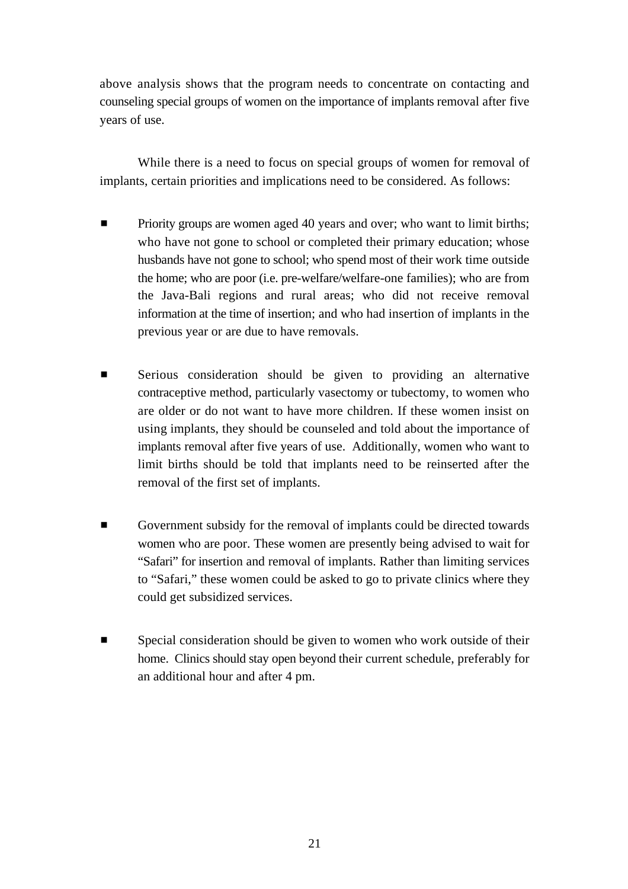above analysis shows that the program needs to concentrate on contacting and counseling special groups of women on the importance of implants removal after five years of use.

While there is a need to focus on special groups of women for removal of implants, certain priorities and implications need to be considered. As follows:

- **EXECUTE:** Priority groups are women aged 40 years and over; who want to limit births; who have not gone to school or completed their primary education; whose husbands have not gone to school; who spend most of their work time outside the home; who are poor (i.e. pre-welfare/welfare-one families); who are from the Java-Bali regions and rural areas; who did not receive removal information at the time of insertion; and who had insertion of implants in the previous year or are due to have removals.
- **EXECUTE:** Serious consideration should be given to providing an alternative contraceptive method, particularly vasectomy or tubectomy, to women who are older or do not want to have more children. If these women insist on using implants, they should be counseled and told about the importance of implants removal after five years of use. Additionally, women who want to limit births should be told that implants need to be reinserted after the removal of the first set of implants.
- Government subsidy for the removal of implants could be directed towards women who are poor. These women are presently being advised to wait for "Safari" for insertion and removal of implants. Rather than limiting services to "Safari," these women could be asked to go to private clinics where they could get subsidized services.
- $\blacksquare$  Special consideration should be given to women who work outside of their home. Clinics should stay open beyond their current schedule, preferably for an additional hour and after 4 pm.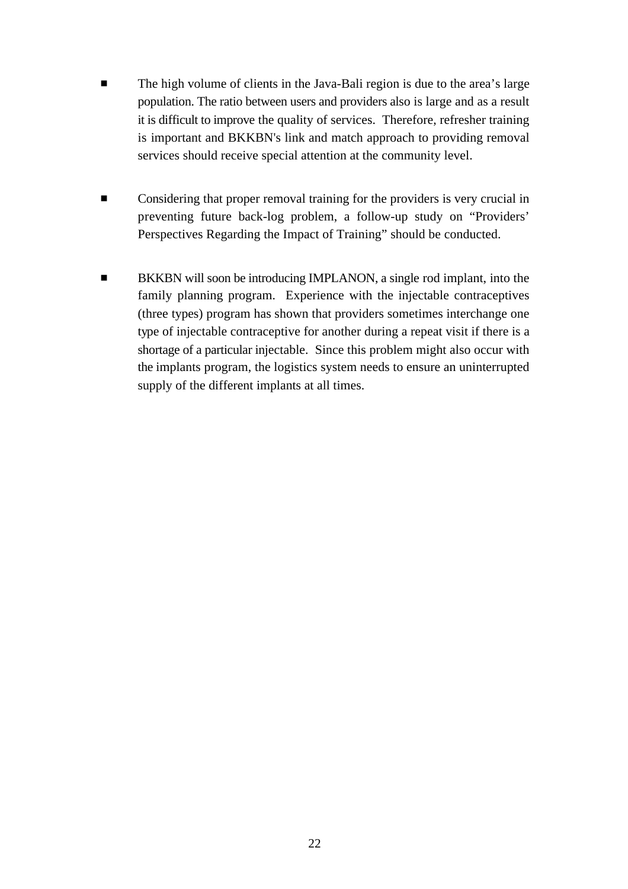- **The high volume of clients in the Java-Bali region is due to the area's large** population. The ratio between users and providers also is large and as a result it is difficult to improve the quality of services. Therefore, refresher training is important and BKKBN's link and match approach to providing removal services should receive special attention at the community level.
- **Example 1** Considering that proper removal training for the providers is very crucial in preventing future back-log problem, a follow-up study on "Providers' Perspectives Regarding the Impact of Training" should be conducted.
- BKKBN will soon be introducing IMPLANON, a single rod implant, into the family planning program. Experience with the injectable contraceptives (three types) program has shown that providers sometimes interchange one type of injectable contraceptive for another during a repeat visit if there is a shortage of a particular injectable. Since this problem might also occur with the implants program, the logistics system needs to ensure an uninterrupted supply of the different implants at all times.